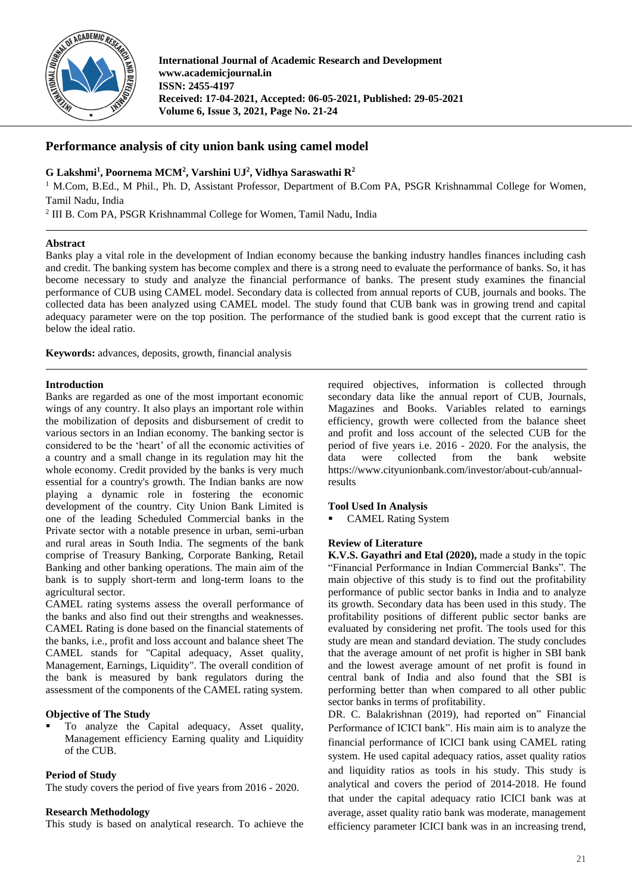

**International Journal of Academic Research and Development www.academicjournal.in ISSN: 2455-4197 Received: 17-04-2021, Accepted: 06-05-2021, Published: 29-05-2021 Volume 6, Issue 3, 2021, Page No. 21-24**

# **Performance analysis of city union bank using camel model**

# **G Lakshmi<sup>1</sup> , Poornema MCM<sup>2</sup> , Varshini UJ 2 , Vidhya Saraswathi R<sup>2</sup>**

<sup>1</sup> M.Com, B.Ed., M Phil., Ph. D, Assistant Professor, Department of B.Com PA, PSGR Krishnammal College for Women, Tamil Nadu, India

<sup>2</sup> III B. Com PA, PSGR Krishnammal College for Women, Tamil Nadu, India

### **Abstract**

Banks play a vital role in the development of Indian economy because the banking industry handles finances including cash and credit. The banking system has become complex and there is a strong need to evaluate the performance of banks. So, it has become necessary to study and analyze the financial performance of banks. The present study examines the financial performance of CUB using CAMEL model. Secondary data is collected from annual reports of CUB, journals and books. The collected data has been analyzed using CAMEL model. The study found that CUB bank was in growing trend and capital adequacy parameter were on the top position. The performance of the studied bank is good except that the current ratio is below the ideal ratio.

**Keywords:** advances, deposits, growth, financial analysis

### **Introduction**

Banks are regarded as one of the most important economic wings of any country. It also plays an important role within the mobilization of deposits and disbursement of credit to various sectors in an Indian economy. The banking sector is considered to be the 'heart' of all the economic activities of a country and a small change in its regulation may hit the whole economy. Credit provided by the banks is very much essential for a country's growth. The Indian banks are now playing a dynamic role in fostering the economic development of the country. City Union Bank Limited is one of the leading Scheduled Commercial banks in the Private sector with a notable presence in urban, semi-urban and rural areas in South India. The segments of the bank comprise of Treasury Banking, Corporate Banking, Retail Banking and other banking operations. The main aim of the bank is to supply short-term and long-term loans to the agricultural sector.

CAMEL rating systems assess the overall performance of the banks and also find out their strengths and weaknesses. CAMEL Rating is done based on the financial statements of the banks, i.e., profit and loss account and balance sheet The CAMEL stands for "Capital adequacy, Asset quality, Management, Earnings, Liquidity". The overall condition of the bank is measured by bank regulators during the assessment of the components of the CAMEL rating system.

# **Objective of The Study**

To analyze the Capital adequacy, Asset quality, Management efficiency Earning quality and Liquidity of the CUB.

# **Period of Study**

The study covers the period of five years from 2016 - 2020.

### **Research Methodology**

This study is based on analytical research. To achieve the

required objectives, information is collected through secondary data like the annual report of CUB, Journals, Magazines and Books. Variables related to earnings efficiency, growth were collected from the balance sheet and profit and loss account of the selected CUB for the period of five years i.e. 2016 - 2020. For the analysis, the data were collected from the bank website https://www.cityunionbank.com/investor/about-cub/annualresults

### **Tool Used In Analysis**

**CAMEL Rating System** 

### **Review of Literature**

**K.V.S. Gayathri and Etal (2020),** made a study in the topic "Financial Performance in Indian Commercial Banks". The main objective of this study is to find out the profitability performance of public sector banks in India and to analyze its growth. Secondary data has been used in this study. The profitability positions of different public sector banks are evaluated by considering net profit. The tools used for this study are mean and standard deviation. The study concludes that the average amount of net profit is higher in SBI bank and the lowest average amount of net profit is found in central bank of India and also found that the SBI is performing better than when compared to all other public sector banks in terms of profitability.

DR. C. Balakrishnan (2019), had reported on" Financial Performance of ICICI bank". His main aim is to analyze the financial performance of ICICI bank using CAMEL rating system. He used capital adequacy ratios, asset quality ratios and liquidity ratios as tools in his study. This study is analytical and covers the period of 2014-2018. He found that under the capital adequacy ratio ICICI bank was at average, asset quality ratio bank was moderate, management efficiency parameter ICICI bank was in an increasing trend,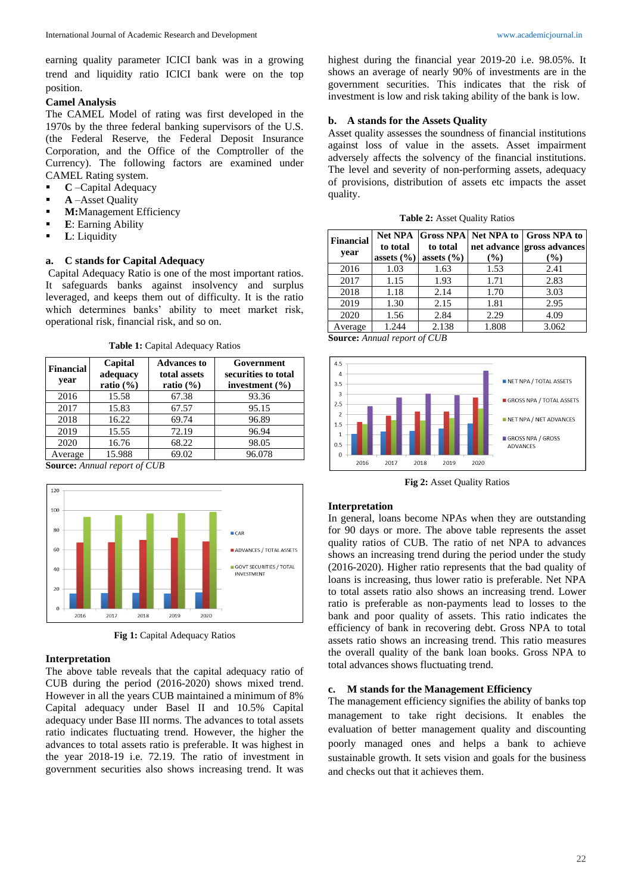earning quality parameter ICICI bank was in a growing trend and liquidity ratio ICICI bank were on the top position.

# **Camel Analysis**

The CAMEL Model of rating was first developed in the 1970s by the three federal banking supervisors of the U.S. (the Federal Reserve, the Federal Deposit Insurance Corporation, and the Office of the Comptroller of the Currency). The following factors are examined under CAMEL Rating system.

- **C** –Capital Adequacy
- **A** –Asset Quality
- **M:Management Efficiency**
- **E**: Earning Ability
- **L**: Liquidity

# **a. C stands for Capital Adequacy**

Capital Adequacy Ratio is one of the most important ratios. It safeguards banks against insolvency and surplus leveraged, and keeps them out of difficulty. It is the ratio which determines banks' ability to meet market risk, operational risk, financial risk, and so on.

**Table 1:** Capital Adequacy Ratios

| Financial<br>year | Capital<br>adequacy<br>ratio $(\% )$ | <b>Advances to</b><br>total assets<br>ratio $(\% )$ | Government<br>securities to total<br>investment $(\% )$ |
|-------------------|--------------------------------------|-----------------------------------------------------|---------------------------------------------------------|
| 2016              | 15.58                                | 67.38                                               | 93.36                                                   |
| 2017              | 15.83                                | 67.57                                               | 95.15                                                   |
| 2018              | 16.22                                | 69.74                                               | 96.89                                                   |
| 2019              | 15.55                                | 72.19                                               | 96.94                                                   |
| 2020              | 16.76                                | 68.22                                               | 98.05                                                   |
| Average           | 15.988                               | 69.02                                               | 96.078                                                  |

**Source:** *Annual report of CUB*



**Fig 1:** Capital Adequacy Ratios

### **Interpretation**

The above table reveals that the capital adequacy ratio of CUB during the period (2016-2020) shows mixed trend. However in all the years CUB maintained a minimum of 8% Capital adequacy under Basel II and 10.5% Capital adequacy under Base III norms. The advances to total assets ratio indicates fluctuating trend. However, the higher the advances to total assets ratio is preferable. It was highest in the year 2018-19 i.e. 72.19. The ratio of investment in government securities also shows increasing trend. It was

highest during the financial year 2019-20 i.e. 98.05%. It shows an average of nearly 90% of investments are in the government securities. This indicates that the risk of investment is low and risk taking ability of the bank is low.

### **b. A stands for the Assets Quality**

Asset quality assesses the soundness of financial institutions against loss of value in the assets. Asset impairment adversely affects the solvency of the financial institutions. The level and severity of non-performing assets, adequacy of provisions, distribution of assets etc impacts the asset quality.

| Financial<br>year | to total<br>assets $(\% )$ | to total<br>assets $(\% )$ | (%)   | Net NPA Gross NPA Net NPA to Gross NPA to<br>net advance gross advances<br>(%) |
|-------------------|----------------------------|----------------------------|-------|--------------------------------------------------------------------------------|
| 2016              | 1.03                       | 1.63                       | 1.53  | 2.41                                                                           |
| 2017              | 1.15                       | 1.93                       | 1.71  | 2.83                                                                           |
| 2018              | 1.18                       | 2.14                       | 1.70  | 3.03                                                                           |
| 2019              | 1.30                       | 2.15                       | 1.81  | 2.95                                                                           |
| 2020              | 1.56                       | 2.84                       | 2.29  | 4.09                                                                           |
| Average           | 1.244                      | 2.138                      | 1.808 | 3.062                                                                          |

**Source:** *Annual report of CUB*



**Fig 2:** Asset Quality Ratios

### **Interpretation**

In general, loans become NPAs when they are outstanding for 90 days or more. The above table represents the asset quality ratios of CUB. The ratio of net NPA to advances shows an increasing trend during the period under the study (2016-2020). Higher ratio represents that the bad quality of loans is increasing, thus lower ratio is preferable. Net NPA to total assets ratio also shows an increasing trend. Lower ratio is preferable as non-payments lead to losses to the bank and poor quality of assets. This ratio indicates the efficiency of bank in recovering debt. Gross NPA to total assets ratio shows an increasing trend. This ratio measures the overall quality of the bank loan books. Gross NPA to total advances shows fluctuating trend.

#### **c. M stands for the Management Efficiency**

The management efficiency signifies the ability of banks top management to take right decisions. It enables the evaluation of better management quality and discounting poorly managed ones and helps a bank to achieve sustainable growth. It sets vision and goals for the business and checks out that it achieves them.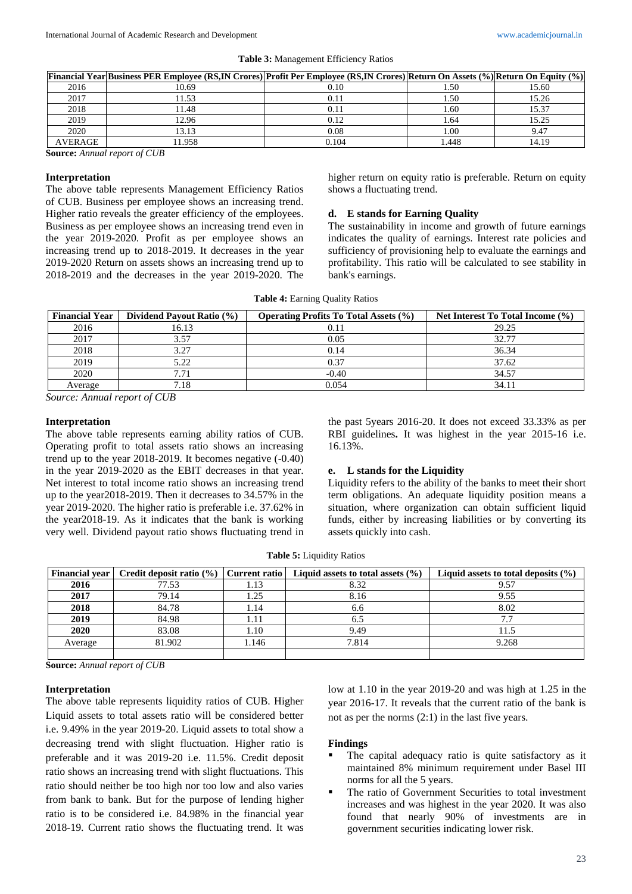|               | [69] [69] [Financial Year Business PER Employee (RS,IN Crores) Profit Per Employee (RS,IN Crores) Return On Assets (%) Return On Equity (%) |       |      |       |
|---------------|---------------------------------------------------------------------------------------------------------------------------------------------|-------|------|-------|
| 2016          | 10.69                                                                                                                                       | 0.10  | .50  | 15.60 |
| 2017          | 11.53                                                                                                                                       | 0.11  | 1.50 | 15.26 |
| 2018          | 11.48                                                                                                                                       | 0.11  | 1.60 | 15.37 |
| 2019          | 12.96                                                                                                                                       | 0.12  | 1.64 | 15.25 |
| 2020          | 13.13                                                                                                                                       | 0.08  | 00.1 | 9.47  |
| AVERAGE       | 11.958                                                                                                                                      | 0.104 | .448 | 14.19 |
| $\sim$ $\sim$ | CAID                                                                                                                                        |       |      |       |

**Source:** *Annual report of CUB*

#### **Interpretation**

The above table represents Management Efficiency Ratios of CUB. Business per employee shows an increasing trend. Higher ratio reveals the greater efficiency of the employees. Business as per employee shows an increasing trend even in the year 2019-2020. Profit as per employee shows an increasing trend up to 2018-2019. It decreases in the year 2019-2020 Return on assets shows an increasing trend up to 2018-2019 and the decreases in the year 2019-2020. The higher return on equity ratio is preferable. Return on equity shows a fluctuating trend.

### **d. E stands for Earning Quality**

The sustainability in income and growth of future earnings indicates the quality of earnings. Interest rate policies and sufficiency of provisioning help to evaluate the earnings and profitability. This ratio will be calculated to see stability in bank's earnings.

| <b>Financial Year</b> | Dividend Payout Ratio (%) | <b>Operating Profits To Total Assets (%)</b> | Net Interest To Total Income (%) |
|-----------------------|---------------------------|----------------------------------------------|----------------------------------|
| 2016                  | 16.13                     | 0.11                                         | 29.25                            |
| 2017                  | 3.57                      | 0.05                                         | 32.77                            |
| 2018                  | 3.27                      | 0.14                                         | 36.34                            |
| 2019                  | 5.22                      | 0.37                                         | 37.62                            |
| 2020                  | 7.71                      | $-0.40$                                      | 34.57                            |
| Average               | 7.18                      | 0.054                                        | 34.11                            |

**Table 4:** Earning Quality Ratios

*Source: Annual report of CUB*

#### **Interpretation**

The above table represents earning ability ratios of CUB. Operating profit to total assets ratio shows an increasing trend up to the year 2018-2019. It becomes negative (-0.40) in the year 2019-2020 as the EBIT decreases in that year. Net interest to total income ratio shows an increasing trend up to the year2018-2019. Then it decreases to 34.57% in the year 2019-2020. The higher ratio is preferable i.e. 37.62% in the year2018-19. As it indicates that the bank is working very well. Dividend payout ratio shows fluctuating trend in the past 5years 2016-20. It does not exceed 33.33% as per RBI guidelines**.** It was highest in the year 2015-16 i.e. 16.13%.

### **e. L stands for the Liquidity**

Liquidity refers to the ability of the banks to meet their short term obligations. An adequate liquidity position means a situation, where organization can obtain sufficient liquid funds, either by increasing liabilities or by converting its assets quickly into cash.

**Table 5:** Liquidity Ratios

| <b>Financial vear</b> | <b>Credit deposit ratio <math>(\%)</math></b> | Current ratio | Liquid assets to total assets $(\% )$ | Liquid assets to total deposits $(\% )$ |
|-----------------------|-----------------------------------------------|---------------|---------------------------------------|-----------------------------------------|
| 2016                  | 77.53                                         | 1.13          | 8.32                                  | 9.57                                    |
| 2017                  | 79.14                                         | 1.25          | 8.16                                  | 9.55                                    |
| 2018                  | 84.78                                         | 1.14          | 6.6                                   | 8.02                                    |
| 2019                  | 84.98                                         | 1.11          | 6.5                                   | 7.7                                     |
| 2020                  | 83.08                                         | 1.10          | 9.49                                  | 11.5                                    |
| Average               | 81.902                                        | 1.146         | 7.814                                 | 9.268                                   |
|                       |                                               |               |                                       |                                         |

**Source:** *Annual report of CUB*

#### **Interpretation**

The above table represents liquidity ratios of CUB. Higher Liquid assets to total assets ratio will be considered better i.e. 9.49% in the year 2019-20. Liquid assets to total show a decreasing trend with slight fluctuation. Higher ratio is preferable and it was 2019-20 i.e. 11.5%. Credit deposit ratio shows an increasing trend with slight fluctuations. This ratio should neither be too high nor too low and also varies from bank to bank. But for the purpose of lending higher ratio is to be considered i.e. 84.98% in the financial year 2018-19. Current ratio shows the fluctuating trend. It was

low at 1.10 in the year 2019-20 and was high at 1.25 in the year 2016-17. It reveals that the current ratio of the bank is not as per the norms (2:1) in the last five years.

#### **Findings**

- The capital adequacy ratio is quite satisfactory as it maintained 8% minimum requirement under Basel III norms for all the 5 years.
- The ratio of Government Securities to total investment increases and was highest in the year 2020. It was also found that nearly 90% of investments are in government securities indicating lower risk.